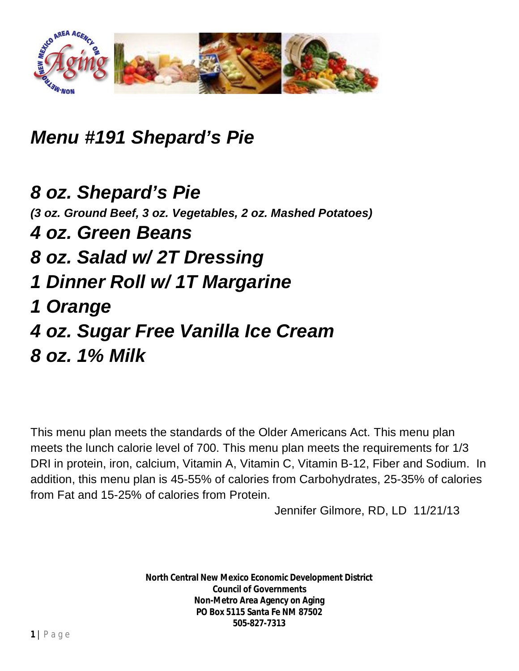

*Menu #191 Shepard's Pie*

*8 oz. Shepard's Pie (3 oz. Ground Beef, 3 oz. Vegetables, 2 oz. Mashed Potatoes) 4 oz. Green Beans 8 oz. Salad w/ 2T Dressing 1 Dinner Roll w/ 1T Margarine 1 Orange 4 oz. Sugar Free Vanilla Ice Cream 8 oz. 1% Milk*

This menu plan meets the standards of the Older Americans Act. This menu plan meets the lunch calorie level of 700. This menu plan meets the requirements for 1/3 DRI in protein, iron, calcium, Vitamin A, Vitamin C, Vitamin B-12, Fiber and Sodium. In addition, this menu plan is 45-55% of calories from Carbohydrates, 25-35% of calories from Fat and 15-25% of calories from Protein.

Jennifer Gilmore, RD, LD 11/21/13

**North Central New Mexico Economic Development District Council of Governments Non-Metro Area Agency on Aging PO Box 5115 Santa Fe NM 87502 505-827-7313**